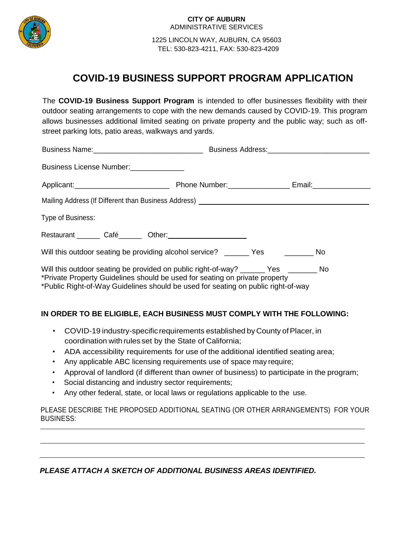

 1225 LINCOLN WAY, AUBURN, CA 95603 TEL: 530-823-4211, FAX: 530-823-4209

# **COVID-19 BUSINESS SUPPORT PROGRAM APPLICATION**

The **COVID-19 Business Support Program** is intended to offer businesses flexibility with their outdoor seating arrangements to cope with the new demands caused by COVID-19. This program allows businesses additional limited seating on private property and the public way; such as offstreet parking lots, patio areas, walkways and yards.

| Business License Number:<br><u>License</u> Number:                                                                                                                                                                                                      |  |  |
|---------------------------------------------------------------------------------------------------------------------------------------------------------------------------------------------------------------------------------------------------------|--|--|
|                                                                                                                                                                                                                                                         |  |  |
| Mailing Address (If Different than Business Address) [1982] [2012] [2013] [2013] [2013] [2013] [2014] [2014] [                                                                                                                                          |  |  |
| Type of Business:                                                                                                                                                                                                                                       |  |  |
|                                                                                                                                                                                                                                                         |  |  |
| Will this outdoor seating be providing alcohol service? _______ Yes __________ No                                                                                                                                                                       |  |  |
| Will this outdoor seating be provided on public right-of-way? ______ Yes _______ No<br>*Private Property Guidelines should be used for seating on private property<br>*Public Right-of-Way Guidelines should be used for seating on public right-of-way |  |  |
| IN ORDER TO BE ELIGIBLE, EACH BUSINESS MUST COMPLY WITH THE FOLLOWING:                                                                                                                                                                                  |  |  |

- COVID-19 industry-specific requirements established by County of Placer, in coordination with rules set by the State of California;
- ADA accessibility requirements for use of the additional identified seating area;
- Any applicable ABC licensing requirements use of space may require;
- Approval of landlord (if different than owner of business) to participate in the program;
- Social distancing and industry sector requirements;
- Any other federal, state, or local laws or regulations applicable to the use.

PLEASE DESCRIBE THE PROPOSED ADDITIONAL SEATING (OR OTHER ARRANGEMENTS) FOR YOUR BUSINESS:

*PLEASE ATTACH A SKETCH OF ADDITIONAL BUSINESS AREAS IDENTIFIED.*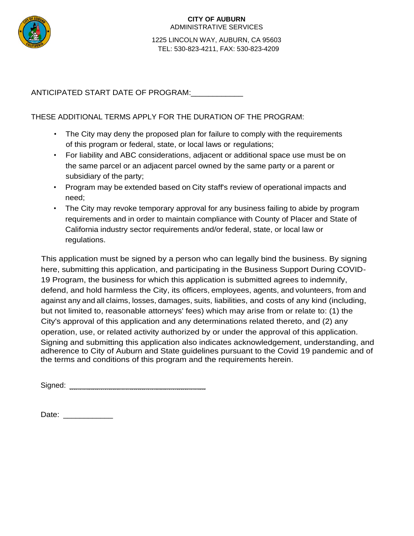

 1225 LINCOLN WAY, AUBURN, CA 95603 TEL: 530-823-4211, FAX: 530-823-4209

ANTICIPATED START DATE OF PROGRAM:\_\_\_\_\_\_\_\_\_\_\_\_

THESE ADDITIONAL TERMS APPLY FOR THE DURATION OF THE PROGRAM:

- The City may deny the proposed plan for failure to comply with the requirements of this program or federal, state, or local laws or regulations;
- For liability and ABC considerations, adjacent or additional space use must be on the same parcel or an adjacent parcel owned by the same party or a parent or subsidiary of the party;
- Program may be extended based on City staff's review of operational impacts and need;
- The City may revoke temporary approval for any business failing to abide by program requirements and in order to maintain compliance with County of Placer and State of California industry sector requirements and/or federal, state, or local law or regulations.

This application must be signed by a person who can legally bind the business. By signing here, submitting this application, and participating in the Business Support During COVID-19 Program, the business for which this application is submitted agrees to indemnify, defend, and hold harmless the City, its officers, employees, agents, and volunteers, from and against any and all claims, losses, damages, suits, liabilities, and costs of any kind (including, but not limited to, reasonable attorneys' fees) which may arise from or relate to: (1) the City's approval of this application and any determinations related thereto, and (2) any operation, use, or related activity authorized by or under the approval of this application. Signing and submitting this application also indicates acknowledgement, understanding, and adherence to City of Auburn and State guidelines pursuant to the Covid 19 pandemic and of the terms and conditions of this program and the requirements herein.

Signed: \_\_\_\_\_\_\_\_\_\_\_\_\_\_\_\_\_\_\_\_\_\_\_\_\_\_\_\_\_\_\_\_\_

Date: \_\_\_\_\_\_\_\_\_\_\_\_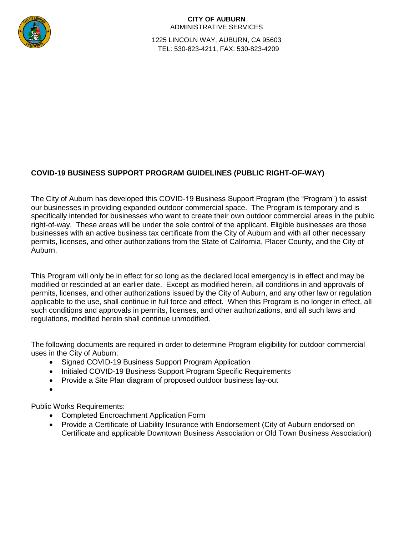

 1225 LINCOLN WAY, AUBURN, CA 95603 TEL: 530-823-4211, FAX: 530-823-4209

## **COVID-19 BUSINESS SUPPORT PROGRAM GUIDELINES (PUBLIC RIGHT-OF-WAY)**

The City of Auburn has developed this COVID-19 Business Support Program (the "Program") to assist our businesses in providing expanded outdoor commercial space. The Program is temporary and is specifically intended for businesses who want to create their own outdoor commercial areas in the public right-of-way. These areas will be under the sole control of the applicant. Eligible businesses are those businesses with an active business tax certificate from the City of Auburn and with all other necessary permits, licenses, and other authorizations from the State of California, Placer County, and the City of Auburn.

This Program will only be in effect for so long as the declared local emergency is in effect and may be modified or rescinded at an earlier date. Except as modified herein, all conditions in and approvals of permits, licenses, and other authorizations issued by the City of Auburn, and any other law or regulation applicable to the use, shall continue in full force and effect. When this Program is no longer in effect, all such conditions and approvals in permits, licenses, and other authorizations, and all such laws and regulations, modified herein shall continue unmodified.

The following documents are required in order to determine Program eligibility for outdoor commercial uses in the City of Auburn:

- Signed COVID-19 Business Support Program Application
- Initialed COVID-19 Business Support Program Specific Requirements
- Provide a Site Plan diagram of proposed outdoor business lay-out
- $\bullet$

Public Works Requirements:

- Completed Encroachment Application Form
- Provide a Certificate of Liability Insurance with Endorsement (City of Auburn endorsed on Certificate and applicable Downtown Business Association or Old Town Business Association)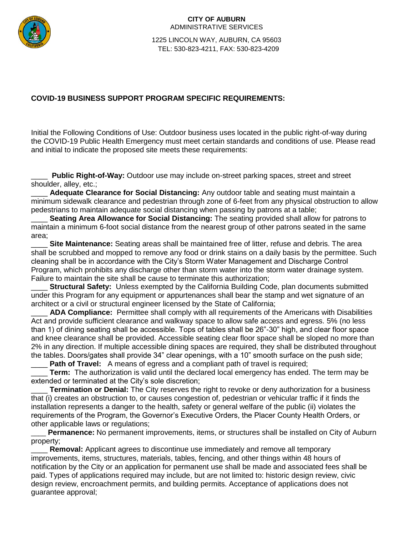

 1225 LINCOLN WAY, AUBURN, CA 95603 TEL: 530-823-4211, FAX: 530-823-4209

## **COVID-19 BUSINESS SUPPORT PROGRAM SPECIFIC REQUIREMENTS:**

Initial the Following Conditions of Use: Outdoor business uses located in the public right-of-way during the COVID-19 Public Health Emergency must meet certain standards and conditions of use. Please read and initial to indicate the proposed site meets these requirements:

**Public Right-of-Way:** Outdoor use may include on-street parking spaces, street and street shoulder, alley, etc.;

Adequate Clearance for Social Distancing: Any outdoor table and seating must maintain a minimum sidewalk clearance and pedestrian through zone of 6-feet from any physical obstruction to allow pedestrians to maintain adequate social distancing when passing by patrons at a table;

Seating Area Allowance for Social Distancing: The seating provided shall allow for patrons to maintain a minimum 6-foot social distance from the nearest group of other patrons seated in the same area;

**Site Maintenance:** Seating areas shall be maintained free of litter, refuse and debris. The area shall be scrubbed and mopped to remove any food or drink stains on a daily basis by the permittee. Such cleaning shall be in accordance with the City's Storm Water Management and Discharge Control Program, which prohibits any discharge other than storm water into the storm water drainage system. Failure to maintain the site shall be cause to terminate this authorization;

**Structural Safety:** Unless exempted by the California Building Code, plan documents submitted under this Program for any equipment or appurtenances shall bear the stamp and wet signature of an architect or a civil or structural engineer licensed by the State of California;

ADA Compliance: Permittee shall comply with all requirements of the Americans with Disabilities Act and provide sufficient clearance and walkway space to allow safe access and egress. 5% (no less than 1) of dining seating shall be accessible. Tops of tables shall be 26"-30" high, and clear floor space and knee clearance shall be provided. Accessible seating clear floor space shall be sloped no more than 2% in any direction. If multiple accessible dining spaces are required, they shall be distributed throughout the tables. Doors/gates shall provide 34" clear openings, with a 10" smooth surface on the push side;

**Path of Travel:** A means of egress and a compliant path of travel is required;

**Term:** The authorization is valid until the declared local emergency has ended. The term may be extended or terminated at the City's sole discretion;

\_\_\_\_ **Termination or Denial:** The City reserves the right to revoke or deny authorization for a business that (i) creates an obstruction to, or causes congestion of, pedestrian or vehicular traffic if it finds the installation represents a danger to the health, safety or general welfare of the public (ii) violates the requirements of the Program, the Governor's Executive Orders, the Placer County Health Orders, or other applicable laws or regulations;

\_\_\_\_ **Permanence:** No permanent improvements, items, or structures shall be installed on City of Auburn property;

**Removal:** Applicant agrees to discontinue use immediately and remove all temporary improvements, items, structures, materials, tables, fencing, and other things within 48 hours of notification by the City or an application for permanent use shall be made and associated fees shall be paid. Types of applications required may include, but are not limited to: historic design review, civic design review, encroachment permits, and building permits. Acceptance of applications does not guarantee approval;